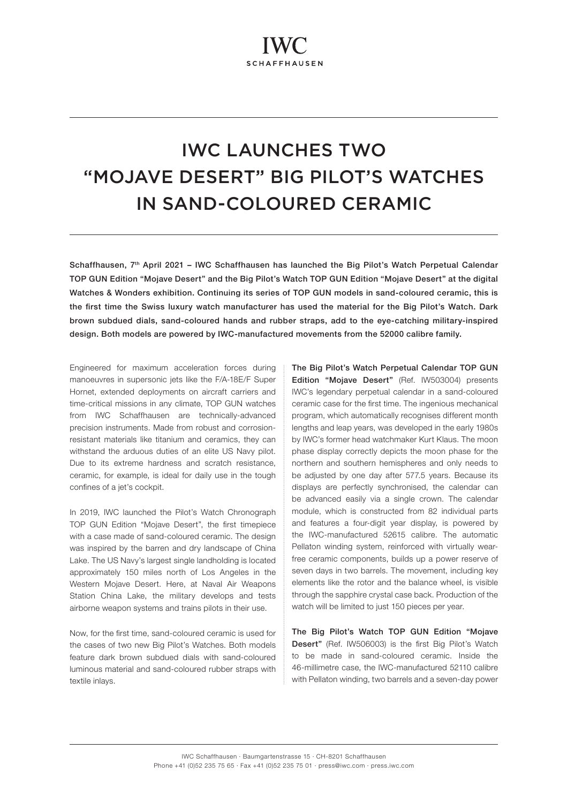# IWC LAUNCHES TWO "MOJAVE DESERT" BIG PILOT'S WATCHES IN SAND-COLOURED CERAMIC

Schaffhausen, 7<sup>th</sup> April 2021 - IWC Schaffhausen has launched the Big Pilot's Watch Perpetual Calendar TOP GUN Edition "Mojave Desert" and the Big Pilot's Watch TOP GUN Edition "Mojave Desert" at the digital Watches & Wonders exhibition. Continuing its series of TOP GUN models in sand-coloured ceramic, this is the first time the Swiss luxury watch manufacturer has used the material for the Big Pilot's Watch. Dark brown subdued dials, sand-coloured hands and rubber straps, add to the eye-catching military-inspired design. Both models are powered by IWC-manufactured movements from the 52000 calibre family.

Engineered for maximum acceleration forces during manoeuvres in supersonic jets like the F/A-18E/F Super Hornet, extended deployments on aircraft carriers and time-critical missions in any climate, TOP GUN watches from IWC Schaffhausen are technically-advanced precision instruments. Made from robust and corrosionresistant materials like titanium and ceramics, they can withstand the arduous duties of an elite US Navy pilot. Due to its extreme hardness and scratch resistance, ceramic, for example, is ideal for daily use in the tough confines of a jet's cockpit.

In 2019, IWC launched the Pilot's Watch Chronograph TOP GUN Edition "Mojave Desert", the first timepiece with a case made of sand-coloured ceramic. The design was inspired by the barren and dry landscape of China Lake. The US Navy's largest single landholding is located approximately 150 miles north of Los Angeles in the Western Mojave Desert. Here, at Naval Air Weapons Station China Lake, the military develops and tests airborne weapon systems and trains pilots in their use.

Now, for the first time, sand-coloured ceramic is used for the cases of two new Big Pilot's Watches. Both models feature dark brown subdued dials with sand-coloured luminous material and sand-coloured rubber straps with textile inlays.

The Big Pilot's Watch Perpetual Calendar TOP GUN Edition "Mojave Desert" (Ref. IW503004) presents IWC's legendary perpetual calendar in a sand-coloured ceramic case for the first time. The ingenious mechanical program, which automatically recognises different month lengths and leap years, was developed in the early 1980s by IWC's former head watchmaker Kurt Klaus. The moon phase display correctly depicts the moon phase for the northern and southern hemispheres and only needs to be adjusted by one day after 577.5 years. Because its displays are perfectly synchronised, the calendar can be advanced easily via a single crown. The calendar module, which is constructed from 82 individual parts and features a four-digit year display, is powered by the IWC-manufactured 52615 calibre. The automatic Pellaton winding system, reinforced with virtually wearfree ceramic components, builds up a power reserve of seven days in two barrels. The movement, including key elements like the rotor and the balance wheel, is visible through the sapphire crystal case back. Production of the watch will be limited to just 150 pieces per year.

The Big Pilot's Watch TOP GUN Edition "Mojave Desert" (Ref. IW506003) is the first Big Pilot's Watch to be made in sand-coloured ceramic. Inside the 46-millimetre case, the IWC-manufactured 52110 calibre with Pellaton winding, two barrels and a seven-day power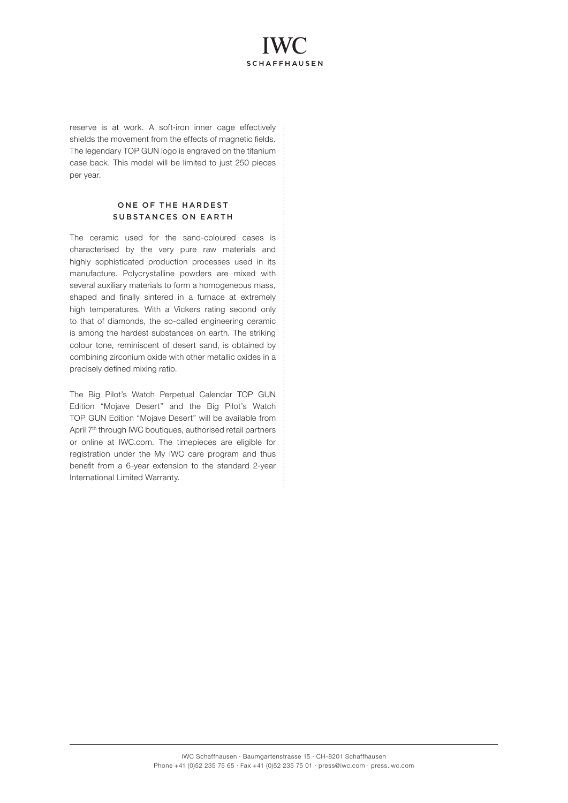# **SCHAFFHAUSEN**

reserve is at work. A soft-iron inner cage effectively shields the movement from the effects of magnetic fields. The legendary TOP GUN logo is engraved on the titanium case back. This model will be limited to just 250 pieces per year.

### ONE OF THE HARDEST SUBSTANCES ON EARTH

The ceramic used for the sand-coloured cases is characterised by the very pure raw materials and highly sophisticated production processes used in its manufacture. Polycrystalline powders are mixed with several auxiliary materials to form a homogeneous mass, shaped and finally sintered in a furnace at extremely high temperatures. With a Vickers rating second only to that of diamonds, the so-called engineering ceramic is among the hardest substances on earth. The striking colour tone, reminiscent of desert sand, is obtained by combining zirconium oxide with other metallic oxides in a precisely defined mixing ratio.

The Big Pilot's Watch Perpetual Calendar TOP GUN Edition "Mojave Desert" and the Big Pilot's Watch TOP GUN Edition "Mojave Desert" will be available from April 7<sup>th</sup> through IWC boutiques, authorised retail partners or online at IWC.com. The timepieces are eligible for registration under the My IWC care program and thus benefit from a 6-year extension to the standard 2-year International Limited Warranty.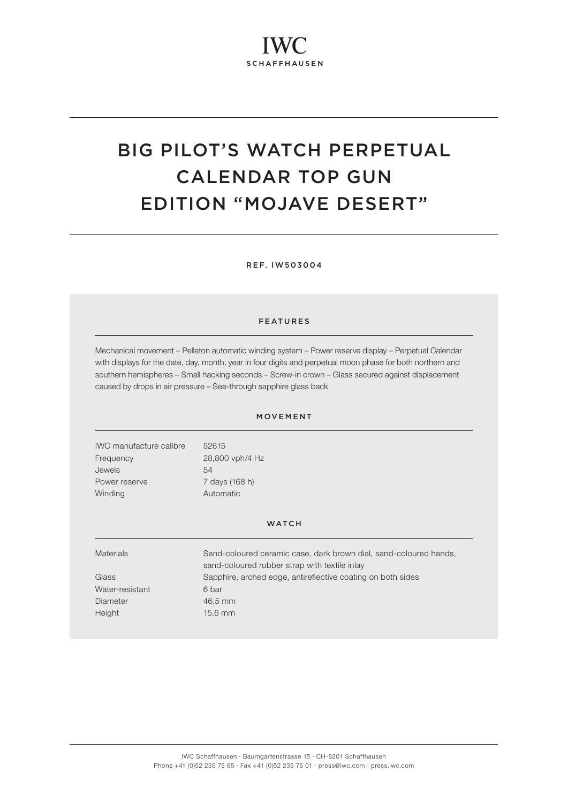# BIG PILOT'S WATCH PERPETUAL CALENDAR TOP GUN EDITION "MOJAVE DESERT"

REF. IW503004

#### FEATURES

Mechanical movement – Pellaton automatic winding system – Power reserve display – Perpetual Calendar with displays for the date, day, month, year in four digits and perpetual moon phase for both northern and southern hemispheres – Small hacking seconds – Screw-in crown – Glass secured against displacement caused by drops in air pressure – See-through sapphire glass back

### MOVEMENT

| IWC manufacture calibre | 52615           |
|-------------------------|-----------------|
| Frequency               | 28,800 vph/4 Hz |
| Jewels                  | 54              |
| Power reserve           | 7 days (168 h)  |
| Winding                 | Automatic       |

#### WATCH

| <b>Materials</b> | Sand-coloured ceramic case, dark brown dial, sand-coloured hands,<br>sand-coloured rubber strap with textile inlay |
|------------------|--------------------------------------------------------------------------------------------------------------------|
| Glass            | Sapphire, arched edge, antireflective coating on both sides                                                        |
| Water-resistant  | 6 bar                                                                                                              |
| Diameter         | 46.5 mm                                                                                                            |
| Height           | $15.6$ mm                                                                                                          |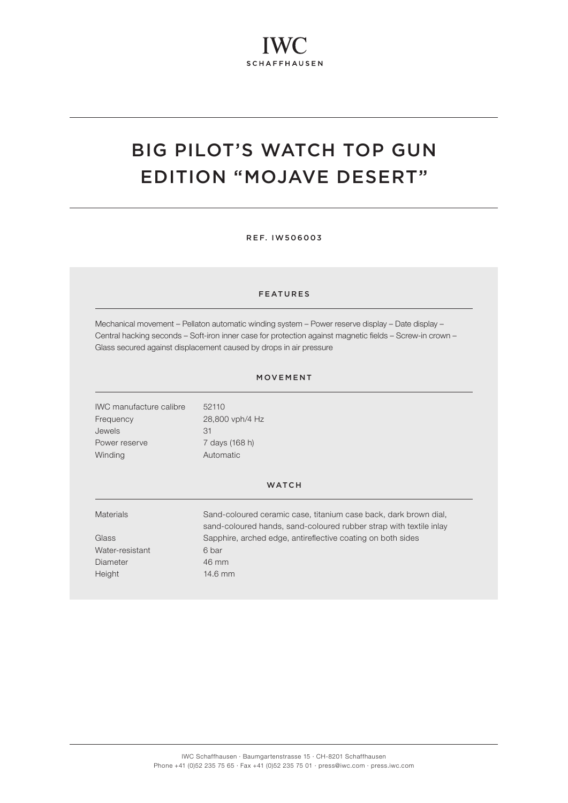## BIG PILOT'S WATCH TOP GUN EDITION "MOJAVE DESERT"

REF. IW506003

#### FEATURES

Mechanical movement – Pellaton automatic winding system – Power reserve display – Date display – Central hacking seconds – Soft-iron inner case for protection against magnetic fields – Screw-in crown – Glass secured against displacement caused by drops in air pressure

#### MOVEMENT

IWC manufacture calibre 52110 Frequency 28,800 vph/4 Hz Jewels 31 Power reserve 7 days (168 h) Winding **Automatic** 

### **WATCH**

| <b>Materials</b> | Sand-coloured ceramic case, titanium case back, dark brown dial,   |
|------------------|--------------------------------------------------------------------|
|                  | sand-coloured hands, sand-coloured rubber strap with textile inlay |
| Glass            | Sapphire, arched edge, antireflective coating on both sides        |
| Water-resistant  | 6 bar                                                              |
| Diameter         | 46 mm                                                              |
| Height           | $14.6$ mm                                                          |
|                  |                                                                    |